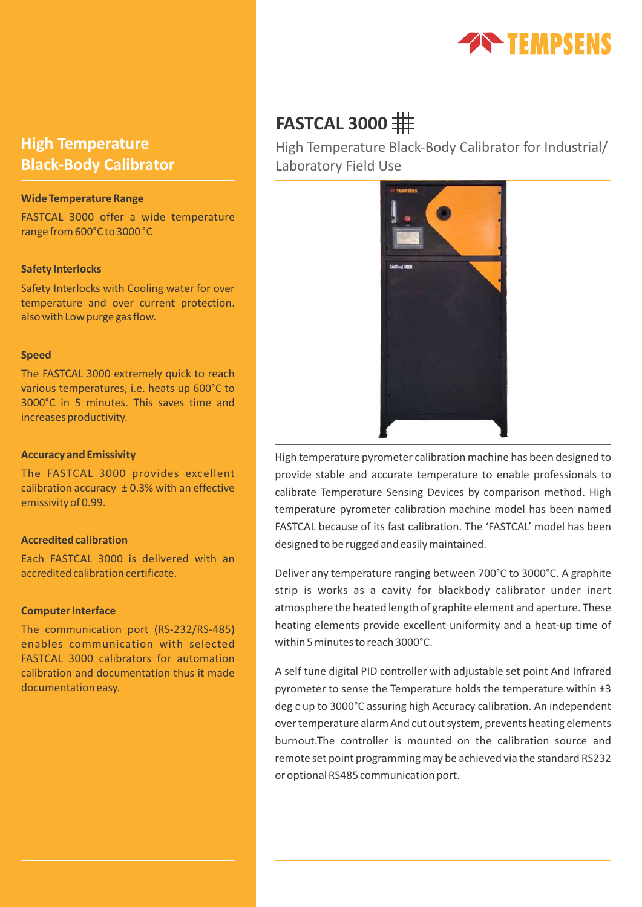

# **High Temperature Black-Body Calibrator**

#### **Wide Temperature Range**

FASTCAL 3000 offer a wide temperature range from 600°C to 3000 °C

#### **Safety Interlocks**

Safety Interlocks with Cooling water for over temperature and over current protection. also with Low purge gas flow.

#### **Speed**

The FASTCAL 3000 extremely quick to reach various temperatures, i.e. heats up 600°C to 3000°C in 5 minutes. This saves time and increases productivity.

### **Accuracy and Emissivity**

The FASTCAL 3000 provides excellent calibration accuracy  $\pm$  0.3% with an effective emissivity of 0.99.

### **Accredited calibration**

Each FASTCAL 3000 is delivered with an accredited calibration certificate.

#### **Computer Interface**

The communication port (RS-232/RS-485) enables communication with selected FASTCAL 3000 calibrators for automation calibration and documentation thus it made documentation easy.

# **FASTCAL 3000**

High Temperature Black-Body Calibrator for Industrial/ Laboratory Field Use



High temperature pyrometer calibration machine has been designed to provide stable and accurate temperature to enable professionals to calibrate Temperature Sensing Devices by comparison method. High temperature pyrometer calibration machine model has been named FASTCAL because of its fast calibration. The 'FASTCAL' model has been designed to be rugged and easily maintained.

Deliver any temperature ranging between 700°C to 3000°C. A graphite strip is works as a cavity for blackbody calibrator under inert atmosphere the heated length of graphite element and aperture. These heating elements provide excellent uniformity and a heat-up time of within 5 minutes to reach 3000°C.

A self tune digital PID controller with adjustable set point And Infrared pyrometer to sense the Temperature holds the temperature within ±3 deg c up to 3000°C assuring high Accuracy calibration. An independent over temperature alarm And cut out system, prevents heating elements burnout.The controller is mounted on the calibration source and remote set point programming may be achieved via the standard RS232 or optional RS485 communication port.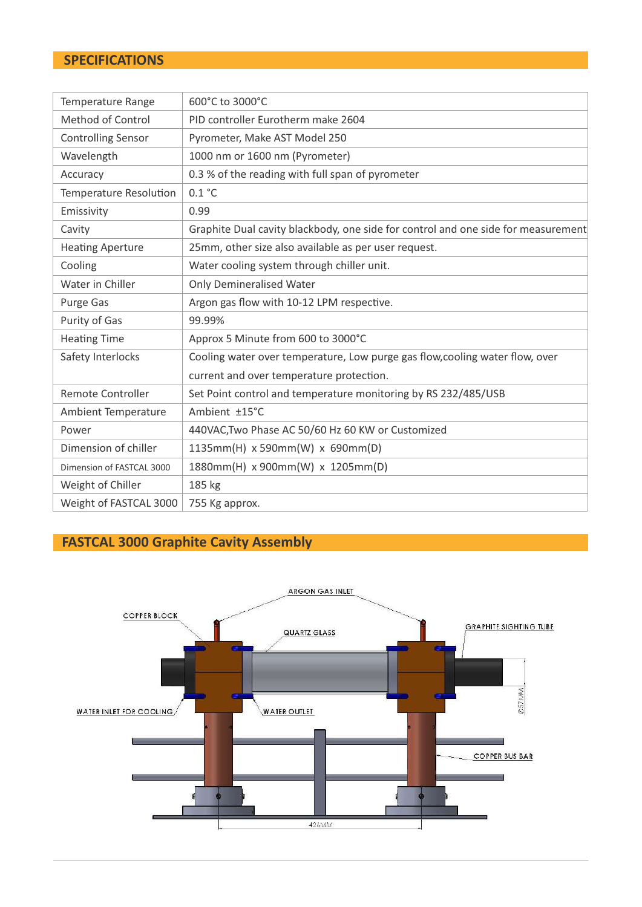## **SPECIFICATIONS**

| <b>Temperature Range</b>   | 600°C to 3000°C                                                                   |  |  |  |  |
|----------------------------|-----------------------------------------------------------------------------------|--|--|--|--|
| Method of Control          | PID controller Eurotherm make 2604                                                |  |  |  |  |
| <b>Controlling Sensor</b>  | Pyrometer, Make AST Model 250                                                     |  |  |  |  |
| Wavelength                 | 1000 nm or 1600 nm (Pyrometer)                                                    |  |  |  |  |
| Accuracy                   | 0.3 % of the reading with full span of pyrometer                                  |  |  |  |  |
| Temperature Resolution     | 0.1 °C                                                                            |  |  |  |  |
| Emissivity                 | 0.99                                                                              |  |  |  |  |
| Cavity                     | Graphite Dual cavity blackbody, one side for control and one side for measurement |  |  |  |  |
| <b>Heating Aperture</b>    | 25mm, other size also available as per user request.                              |  |  |  |  |
| Cooling                    | Water cooling system through chiller unit.                                        |  |  |  |  |
| Water in Chiller           | <b>Only Demineralised Water</b>                                                   |  |  |  |  |
| Purge Gas                  | Argon gas flow with 10-12 LPM respective.                                         |  |  |  |  |
| Purity of Gas              | 99.99%                                                                            |  |  |  |  |
| <b>Heating Time</b>        | Approx 5 Minute from 600 to 3000°C                                                |  |  |  |  |
| Safety Interlocks          | Cooling water over temperature, Low purge gas flow, cooling water flow, over      |  |  |  |  |
|                            | current and over temperature protection.                                          |  |  |  |  |
| Remote Controller          | Set Point control and temperature monitoring by RS 232/485/USB                    |  |  |  |  |
| <b>Ambient Temperature</b> | Ambient ±15°C                                                                     |  |  |  |  |
| Power                      | 440VAC, Two Phase AC 50/60 Hz 60 KW or Customized                                 |  |  |  |  |
| Dimension of chiller       | 1135mm(H) x 590mm(W) x 690mm(D)                                                   |  |  |  |  |
| Dimension of FASTCAL 3000  | 1880mm(H) x 900mm(W) x 1205mm(D)                                                  |  |  |  |  |
| Weight of Chiller          | 185 kg                                                                            |  |  |  |  |
| Weight of FASTCAL 3000     | 755 Kg approx.                                                                    |  |  |  |  |

# **FASTCAL 3000 Graphite Cavity Assembly**